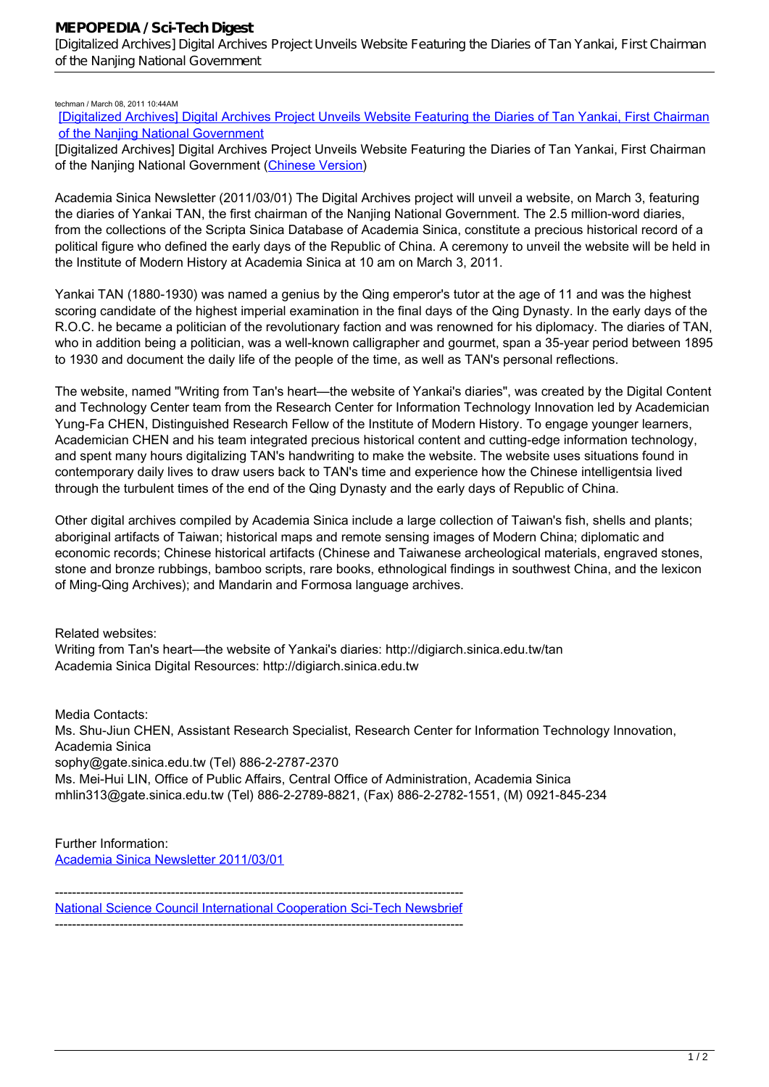## techman / March 08, 2011 10:44AM

[\[Digitalized Archives\] Digital Archives Project Unveils Website Featuring the Diaries of Tan Yankai, First Chairman](http://mepopedia.comhttp://mepopedia.com/forum/read.php?160,10966,10966#msg-10966) [of the Nanjing National Government](http://mepopedia.comhttp://mepopedia.com/forum/read.php?160,10966,10966#msg-10966)

[Digitalized Archives] Digital Archives Project Unveils Website Featuring the Diaries of Tan Yankai, First Chairman of the Nanjing National Government (Chinese Version)

*Academia Sinica Newsletter* (2011/03/01) The Digital Archives project will unveil a website, on March 3, featuring the diaries of Yankai TAN, the first chairman of the Nanjing National Government. The 2.5 million-word diaries, from the collections of the Scripta Sinica Database of Academia Sinica, constitute a precious historical record of a political figure who defined the early days of the Republic of China. A ceremony to unveil the website will be held in the Institute of Modern History at Academia Sinica at 10 am on March 3, 2011.

Yankai TAN (1880-1930) was named a genius by the Qing emperor's tutor at the age of 11 and was the highest scoring candidate of the highest imperial examination in the final days of the Qing Dynasty. In the early days of the R.O.C. he became a politician of the revolutionary faction and was renowned for his diplomacy. The diaries of TAN, who in addition being a politician, was a well-known calligrapher and gourmet, span a 35-year period between 1895 to 1930 and document the daily life of the people of the time, as well as TAN's personal reflections.

The website, named "Writing from Tan's heart—the website of Yankai's diaries", was created by the Digital Content and Technology Center team from the Research Center for Information Technology Innovation led by Academician Yung-Fa CHEN, Distinguished Research Fellow of the Institute of Modern History. To engage younger learners, Academician CHEN and his team integrated precious historical content and cutting-edge information technology, and spent many hours digitalizing TAN's handwriting to make the website. The website uses situations found in contemporary daily lives to draw users back to TAN's time and experience how the Chinese intelligentsia lived through the turbulent times of the end of the Qing Dynasty and the early days of Republic of China.

Other digital archives compiled by Academia Sinica include a large collection of Taiwan's fish, shells and plants; aboriginal artifacts of Taiwan; historical maps and remote sensing images of Modern China; diplomatic and economic records; Chinese historical artifacts (Chinese and Taiwanese archeological materials, engraved stones, stone and bronze rubbings, bamboo scripts, rare books, ethnological findings in southwest China, and the lexicon of Ming-Qing Archives); and Mandarin and Formosa language archives.

Related websites:

Writing from Tan's heart—the website of Yankai's diaries: http://digiarch.sinica.edu.tw/tan Academia Sinica Digital Resources: http://digiarch.sinica.edu.tw

Media Contacts: Ms. Shu-Jiun CHEN, Assistant Research Specialist, Research Center for Information Technology Innovation, Academia Sinica sophy@gate.sinica.edu.tw (Tel) 886-2-2787-2370 Ms. Mei-Hui LIN, Office of Public Affairs, Central Office of Administration, Academia Sinica mhlin313@gate.sinica.edu.tw (Tel) 886-2-2789-8821, (Fax) 886-2-2782-1551, (M) 0921-845-234

Further Information: Academia Sinica Newsletter 2011/03/01

----------------------------------------------------------------------------------------------- National Science Council International Cooperation Sci-Tech Newsbrief -----------------------------------------------------------------------------------------------